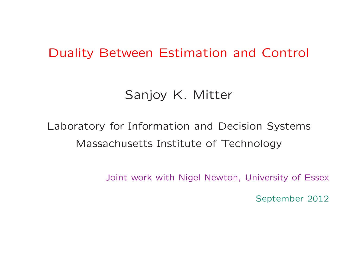## Duality Between Estimation and Control

## Sanjoy K. Mitter

# Laboratory for Information and Decision Systems Massachusetts Institute of Technology

Joint work with Nigel Newton, University of Essex

September <sup>2012</sup>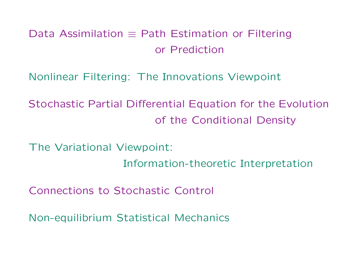## Data Assimilation <sup>≡</sup> Path Estimation or Filtering or Prediction

Nonlinear Filtering: The Innovations Viewpoint

Stochastic Partial Differential Equation for the Evolutionof the Conditional Density

The Variational Viewpoint: Information-theoretic Interpretation

Connections to Stochastic Control

Non-equilibrium Statistical Mechanics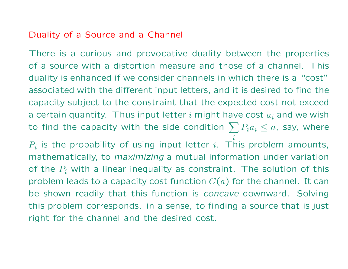#### Duality of <sup>a</sup> Source and <sup>a</sup> Channel

There is <sup>a</sup> curious and provocative duality between the properties of <sup>a</sup> source with <sup>a</sup> distortion measure and those of <sup>a</sup> channel. This duality is enhanced if we consider channels in which there is <sup>a</sup> "cost"associated with the different input letters, and it is desired to find thecapacity subject to the constraint that the expected cost not exceeda certain quantity. Thus input letter  $i$  might have cost  $a_i$  and we wish to find the capacity with the side condition  $\sum P_i a_i\leq a$ , say, where  $\it i$  $P_i$  is the probability of using input letter  $i$ . This problem amounts, mathematically, to *maximizing* <sup>a</sup> mutual information under variation of the  $P_i$  with a linear inequality as constraint. The solution of this problem leads to a capacity cost function  $C(a)$  for the channel. It can

 be shown readily that this function is *concave* downward. Solvingthis problem corresponds. in <sup>a</sup> sense, to finding <sup>a</sup> source that is just right for the channel and the desired cost.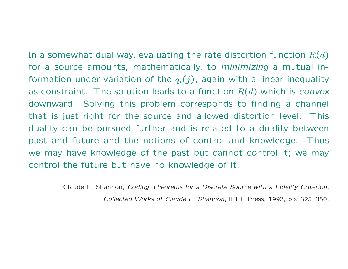In a somewhat dual way, evaluating the rate distortion function  $R(d)$  for <sup>a</sup> source amounts, mathematically, to *minimizing* <sup>a</sup> mutual information under variation of the  $q_i(j)$ , again with a linear inequality as constraint. The solution leads to a function  $R(d)$  which is *convex*  downward. Solving this problem corresponds to finding <sup>a</sup> channel that is just right for the source and allowed distortion level. This duality can be pursued further and is related to <sup>a</sup> duality betweenpast and future and the notions of control and knowledge. Thus we may have knowledge of the past but cannot control it; we maycontrol the future but have no knowledge of it.

> Claude E. Shannon, *Coding Theorems for <sup>a</sup> Discrete Source with <sup>a</sup> Fidelity Criterion: Collected Works of Claude E. Shannon*, IEEE Press, 1993, pp. 325–350.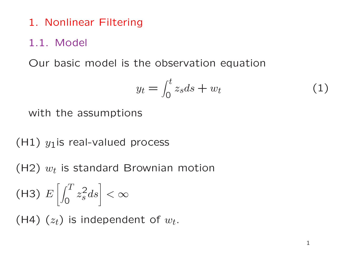1. Nonlinear Filtering

#### 1.1. Model

Our basic model is the observation equation

$$
y_t = \int_0^t z_s ds + w_t \tag{1}
$$

with the assumptions

(H1)  $y_1$ is real-valued process

(H2)  $w_t$  is standard Brownian motion

(H3) 
$$
E\left[\int_0^T z_s^2 ds\right] < \infty
$$

(H4)  $(z_t)$  is independent of  $w_t$ .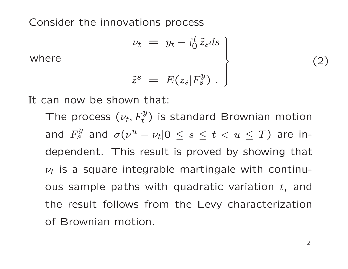Consider the innovations process

$$
\nu_t = y_t - \int_0^t \hat{z}_s ds
$$

where

$$
\widehat{z}^s = E(z_s|F_s^y) .
$$

It can now be shown that:

The process  $(\nu_t, F_t^y)$  is standard Brownian motion and  $F^y_s$  $\sigma_S^{y}$  and  $\sigma(\nu^u)$  $-|\nu_t|0 \leq s \leq t < u \leq T$ ) are independent. This result is proved by showing that  $\nu_t$  is a square integrable martingale with continuous sample paths with quadratic variation  $t$ , and the result follows from the Levy characterizationof Brownian motion.

(2)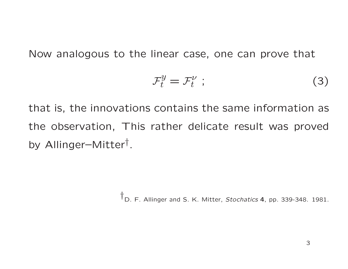Now analogous to the linear case, one can prove that

$$
\mathcal{F}_t^y = \mathcal{F}_t^{\nu} \tag{3}
$$

that is, the innovations contains the same information as the observation, This rather delicate result was provedby Allinger–Mitter † .

†D. F. Allinger and S. K. Mitter, *Stochatics* <sup>4</sup>, pp. 339-348. 1981.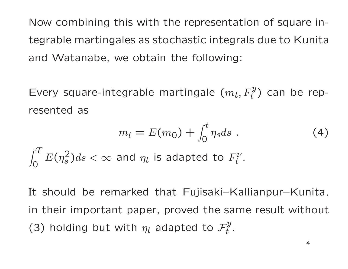Now combining this with the representation of square integrable martingales as stochastic integrals due to Kunitaand Watanabe, we obtain the following:

Every square-integrable martingale  $(m_t, F_t^y)$  can be represented as

$$
m_t = E(m_0) + \int_0^t \eta_s ds \t\t(4)
$$

 $\int_0^T E(\eta_s^2) ds < \infty$  and  $\eta_t$  is adapte  $\overline{O}$  $E(\eta$ 2 $\frac{2}{s}$ ) $ds < \infty$  and  $\eta_t$  is adapted to  $F_t^{\nu}$  $t$  .

It should be remarked that Fujisaki–Kallianpur–Kunita, in their important paper, proved the same result without (3) holding but with  $\eta_t$  adapted to  $\mathcal{F}_t^y.$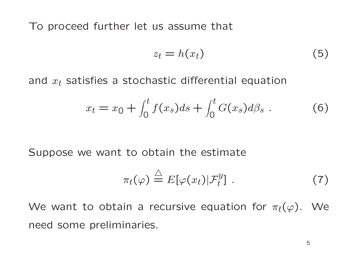To proceed further let us assume that

$$
z_t = h(x_t) \tag{5}
$$

and  $x_t$  satisfies a stochastic differential equation

$$
x_t = x_0 + \int_0^t f(x_s)ds + \int_0^t G(x_s)d\beta_s . \tag{6}
$$

Suppose we want to obtain the estimate

$$
\pi_t(\varphi) \stackrel{\triangle}{=} E[\varphi(x_t)|\mathcal{F}_t^y]. \tag{7}
$$

We want to obtain a recursive equation for  $\pi_t(\varphi).$  We need some preliminaries.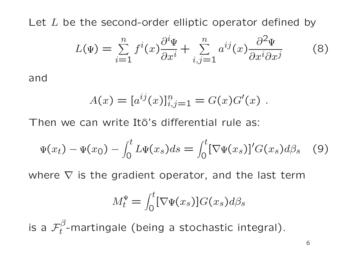Let  $L$  be the second-order elliptic operator defined by

$$
L(\Psi) = \sum_{i=1}^{n} f^{i}(x) \frac{\partial^{i} \Psi}{\partial x^{i}} + \sum_{i,j=1}^{n} a^{ij}(x) \frac{\partial^{2} \Psi}{\partial x^{i} \partial x^{j}}
$$
(8)

and

$$
A(x) = [a^{ij}(x)]_{i,j=1}^n = G(x)G'(x) .
$$

Then we can write Itô's differential rule as:

$$
\Psi(x_t) - \Psi(x_0) - \int_0^t L \Psi(x_s) ds = \int_0^t [\nabla \Psi(x_s)]' G(x_s) d\beta_s \quad (9)
$$

where  $\nabla$  is the gradient operator, and the last term

$$
M_t^{\Psi} = \int_0^t [\nabla \Psi(x_s)] G(x_s) d\beta_s
$$

is a  $\mathcal{F}^\beta_t$ -martingale (being a stochastic integral).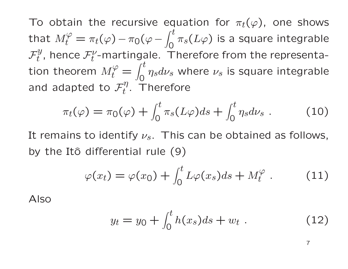To obtain the recursive equation for  $\pi_t(\varphi)$ , one shows that  $M_{\star}^{\varphi}$  $t^{\varphi}_{t}=\pi_{t}(\varphi)$  $7^{\prime\prime}$  month and  $^{\prime}$  $-\,\pi_0(\varphi-\,$  $\int_0^t$ 0 $\pi_{\scriptscriptstyle S}$  $\mathcal{F}_t^y$ , hence  $\mathcal{F}_t^{\nu}$ -martingale. Tl  $(L\varphi)$  is a square integrable tion theorem  $M_t^\varphi$  $t^{\nu}_{t}$ -martingale. Therefore from the representa-  $\frac{1}{t}$  = and adapted to  $\mathcal{F}_t^\eta.$  Therefore  $\int_0^t$ 0 $\eta$  $_{s}d\nu$ s $s$  where  $\nu$ s $\mathcal{C}_s$  is square integrable

$$
\pi_t(\varphi) = \pi_0(\varphi) + \int_0^t \pi_s(L\varphi)ds + \int_0^t \eta_s d\nu_s \ . \tag{10}
$$

It remains to identify  $\nu_s$ . This can be obtained as follows, by the Itô differential rule (9)

$$
\varphi(x_t) = \varphi(x_0) + \int_0^t L\varphi(x_s)ds + M_t^{\varphi} \ . \tag{11}
$$

Also

$$
y_t = y_0 + \int_0^t h(x_s)ds + w_t \ . \tag{12}
$$

7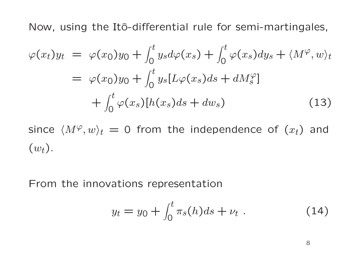Now, using the Itô-differential rule for semi-martingales,

$$
\varphi(x_t)y_t = \varphi(x_0)y_0 + \int_0^t y_s d\varphi(x_s) + \int_0^t \varphi(x_s) dy_s + \langle M^\varphi, w \rangle_t
$$
  

$$
= \varphi(x_0)y_0 + \int_0^t y_s [L\varphi(x_s)ds + dM_s^\varphi]
$$
  

$$
+ \int_0^t \varphi(x_s)[h(x_s)ds + dw_s)
$$
(13)

since  $\langle M^\varphi, w\rangle_t\,=\,0$  from the independence of  $(x_t)$  and  $(w_t)$  .

From the innovations representation

$$
y_t = y_0 + \int_0^t \pi_s(h)ds + \nu_t \ . \tag{14}
$$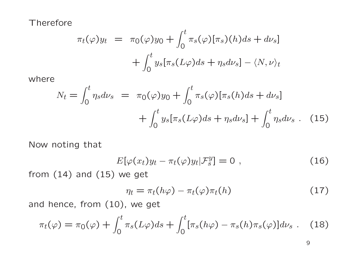**Therefore** 

$$
\pi_t(\varphi)y_t = \pi_0(\varphi)y_0 + \int_0^t \pi_s(\varphi)[\pi_s)(h)ds + d\nu_s
$$

$$
+ \int_0^t y_s[\pi_s(L\varphi)ds + \eta_s d\nu_s] - \langle N, \nu \rangle_t
$$

where

$$
N_t = \int_0^t \eta_s d\nu_s = \pi_0(\varphi) y_0 + \int_0^t \pi_s(\varphi) [\pi_s(h) ds + d\nu_s] + \int_0^t y_s [\pi_s(L\varphi) ds + \eta_s d\nu_s] + \int_0^t \eta_s d\nu_s \quad (15)
$$

Now noting that

$$
E[\varphi(x_t)y_t - \pi_t(\varphi)y_t | \mathcal{F}_s^y] = 0 \t\t(16)
$$

from (14) and (15) we get

$$
\eta_t = \pi_t(h\varphi) - \pi_t(\varphi)\pi_t(h) \qquad (17)
$$

and hence, from (10), we get

$$
\pi_t(\varphi) = \pi_0(\varphi) + \int_0^t \pi_s(L\varphi)ds + \int_0^t [\pi_s(h\varphi) - \pi_s(h)\pi_s(\varphi)]d\nu_s \ . \tag{18}
$$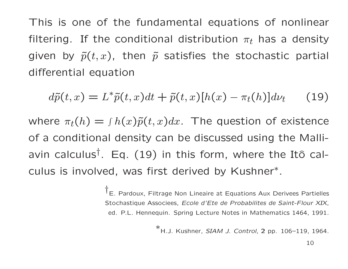This is one of the fundamental equations of nonlinear filtering. If the conditional distribution  $\pi_t$  has a density given by  $\tilde{p}(t,x)$ , then  $\tilde{p}$  satisfies the stochastic partial differential equation

$$
d\tilde{p}(t,x) = L^*\tilde{p}(t,x)dt + \tilde{p}(t,x)[h(x) - \pi_t(h)]d\nu_t \qquad (19)
$$

where  $\pi_t(h) = \int h(x) \tilde{p}(t,x) dx$ . The question of existence of <sup>a</sup> conditional density can be discussed using the Malliavin calculus<sup>†</sup>. Eq. (19) in this form, where the Itô calculus is involved, was first derived by Kushner ∗.

> <sup>†</sup>E. Pardoux, Filtrage Non Lineaire at Equations Aux Derivees Partielles Stochastique Associees, *Ecole d'Ete de Probabilites de Saint-Flour XIX*, ed. P.L. Hennequin. Spring Lecture Notes in Mathematics 1464, 1991.

> > <sup>∗</sup>H.J. Kushner, *SIAM J. Control*, <sup>2</sup> pp. 106–119, 1964.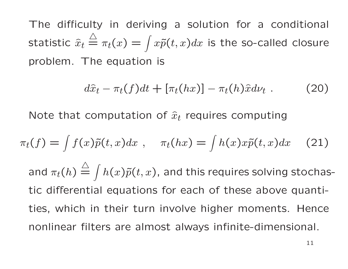The difficulty in deriving <sup>a</sup> solution for <sup>a</sup> conditional statistic  $\widehat{x}_t$  $\triangle$  $\triangleq \pi_t(x) = \int$  problem. The equation is  $x\tilde p(t,x)dx$  is the so-called closure

$$
d\hat{x}_t - \pi_t(f)dt + [\pi_t(hx)] - \pi_t(h)\hat{x}d\nu_t. \qquad (20)
$$

Note that computation of  $\widehat{x}_t$  requires computing

$$
\pi_t(f) = \int f(x)\tilde{p}(t, x)dx, \quad \pi_t(hx) = \int h(x)x\tilde{p}(t, x)dx \quad (21)
$$
  
and  $\pi_t(h) \stackrel{\triangle}{=} \int h(x)\tilde{p}(t, x)$ , and this requires solving stochas-  
tic differential equations for each of these above quanti-  
ties, which in their turn involve higher moments. Hence  
nonlinear filters are almost always infinite-dimensional.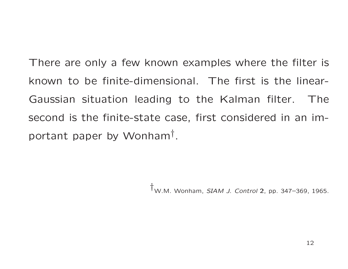There are only <sup>a</sup> few known examples where the filter is known to be finite-dimensional. The first is the linear-Gaussian situation leading to the Kalman filter. Thesecond is the finite-state case, first considered in an important paper by Wonham† .

†W.M. Wonham, *SIAM J. Control* <sup>2</sup>, pp. 347–369, 1965.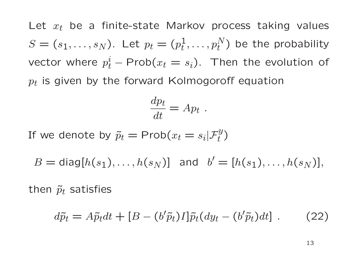Let  $x_t$  be a finite-state Markov process taking values  $S = (s_1, \ldots, s_N)$ . Let  $p_t = (p_t^1, \ldots, p_t^N)$  be the probability vector where  $p_t^i$  − Prob $(x_t = s_i)$ . Then the evolution of  $p_t$  is given by the forward Kolmogoroff equation

$$
\frac{dp_t}{dt} = Ap_t.
$$

If we denote by  $\tilde{p}_t = \mathsf{Prob}(x_t = s_i | \mathcal{F}_t^y)$ 

 $B = \text{diag}[h(s_1), ..., h(s_N)]$  and  $b' = [h(s_1), ..., h(s_N)],$ 

then  $\tilde{p}_t$  satisfies

$$
d\tilde{p}_t = A\tilde{p}_t dt + [B - (b'\tilde{p}_t)I]\tilde{p}_t (dy_t - (b'\tilde{p}_t)dt]. \qquad (22)
$$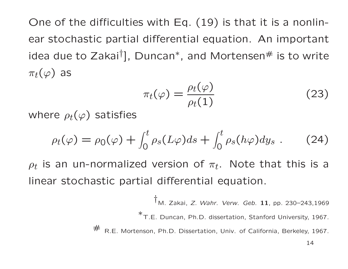One of the difficulties with Eq. (19) is that it is <sup>a</sup> nonlinear stochastic partial differential equation. An important idea due to Zakai $^\dagger$ ], Duncan $^*$ , and Mortensen $^\#$  is to write  $\pi_t(\varphi)$  as

$$
\pi_t(\varphi) = \frac{\rho_t(\varphi)}{\rho_t(1)}\tag{23}
$$

where  $\rho_t(\varphi)$  satisfies

 $\#$ 

$$
\rho_t(\varphi) = \rho_0(\varphi) + \int_0^t \rho_s(L\varphi)ds + \int_0^t \rho_s(h\varphi)dy_s . \tag{24}
$$

 $\rho_t$  is an un-normalized version of  $\pi_t.$  Note that this is a linear stochastic partial differential equation.

> †M. Zakai, *Z. Wahr. Verw. Geb.* <sup>11</sup>, pp. 230–243,1969<sup>∗</sup>T.E. Duncan, Ph.D. dissertation, Stanford University, 1967.  $\tau$  R.E. Mortenson, Ph.D. Dissertation, Univ. of California, Berkeley, 1967.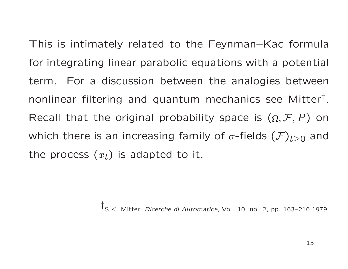This is intimately related to the Feynman–Kac formulafor integrating linear parabolic equations with <sup>a</sup> potential term. For <sup>a</sup> discussion between the analogies betweennonlinear filtering and quantum mechanics see Mitter † .Recall that the original probability space is  $(\Omega, \mathcal{F}, P)$  on which there is an increasing family of  $\sigma\text{-fields }(\mathcal{F})_{t\geq 0}$ <sub>0</sub> and the process  $(x_t)$  is adapted to it.

†S.K. Mitter, *Ricerche di Automatice*, Vol. 10, no. 2, pp. 163–216,1979.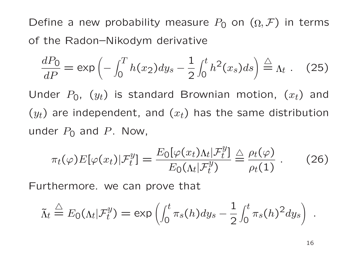Define a new probability measure  $P_{\mathsf{0}}$  on  $(\Omega , \mathcal{F})$  in terms of the Radon–Nikodym derivative

$$
\frac{dP_0}{dP} = \exp\left(-\int_0^T h(x_2)dy_s - \frac{1}{2}\int_0^t h^2(x_s)ds\right) \stackrel{\triangle}{=} \Lambda_t. \quad (25)
$$

Under  $P_0$ ,  $\left( y_t \right)$  is standard Brownian motion,  $\left( x_t \right)$  and  $\left( y_t \right)$  are independent, and  $\left( x_t \right)$  has the same distribution under  $P_0$  and  $P$ . Now,

$$
\pi_t(\varphi) E[\varphi(x_t)|\mathcal{F}_t^y] = \frac{E_0[\varphi(x_t)\Lambda_t|\mathcal{F}_t^y]}{E_0(\Lambda_t|\mathcal{F}_t^y)} \stackrel{\triangle}{=} \frac{\rho_t(\varphi)}{\rho_t(1)} \ . \tag{26}
$$

Furthermore. we can prove that

$$
\tilde{\Lambda}_t \stackrel{\triangle}{=} E_0(\Lambda_t | \mathcal{F}_t^y) = \exp\left(\int_0^t \pi_s(h) dy_s - \frac{1}{2} \int_0^t \pi_s(h)^2 dy_s\right)
$$

.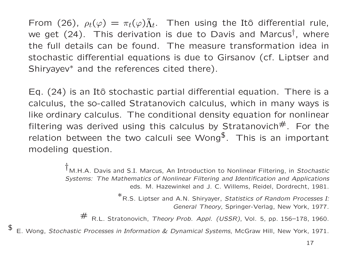From (26),  $\rho_t(\varphi) = \pi_t(\varphi)\tilde{\Lambda}_t$ . Then using the Itô differential rule,<br>we get (24). This derivation is due to Davis and Marque<sup>t</sup>, where we get  $(24)$ . This derivation is due to Davis and Marcus<sup>†</sup>, where the full details can be found. The measure transformation idea in stochastic differential equations is due to Girsanov (cf. Liptser andShiryayev<sup>\*</sup> and the references cited there).

Eq. (24) is an Itô stochastic partial differential equation. There is a calculus, the so-called Stratanovich calculus, which in many ways is like ordinary calculus. The conditional density equation for nonlinear filtering was derived using this calculus by Stratanovich $#$ . For the relation between the two calculi see Wong $\textsuperscript{s}$ . This is an important modeling question.

> †M.H.A. Davis and S.I. Marcus, An Introduction to Nonlinear Filtering, in *Stochastic Systems: The Mathematics of Nonlinear Filtering and Identification and Applications* eds. M. Hazewinkel and J. C. Willems, Reidel, Dordrecht, 1981.

> > <sup>∗</sup>R.S. Liptser and A.N. Shiryayer, *Statistics of Random Processes I: General Theory*, Springer-Verlag, New York, 1977.

# R.L. Stratonovich, *Theory Prob. Appl. (USSR)*, Vol. 5, pp. 156–178, 1960.

E. Wong, *Stochastic Processes in Information & Dynamical Systems*, McGraw Hill, New York, 1971.

\$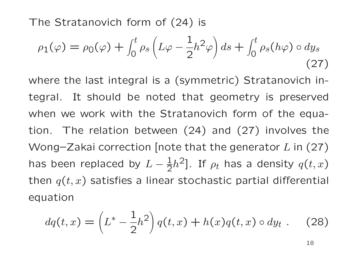The Stratanovich form of (24) is

$$
\rho_1(\varphi) = \rho_0(\varphi) + \int_0^t \rho_s \left( L\varphi - \frac{1}{2}h^2 \varphi \right) ds + \int_0^t \rho_s(h\varphi) \circ dy_s
$$
\n(27)

where the last integral is <sup>a</sup> (symmetric) Stratanovich integral. It should be noted that geometry is preservedwhen we work with the Stratanovich form of the equation. The relation between (24) and (27) involves theWong–Zakai correction [note that the generator  $L$  in (27) has been replaced by  $L-\frac{1}{2}$ then  $q(t, x)$  satisfies a linear stochastic partial differential 2 $[h^{\mathsf{2}}].$  If  $\rho_t$  has a density  $q(t,x)$ equation

$$
dq(t,x) = \left(L^* - \frac{1}{2}h^2\right)q(t,x) + h(x)q(t,x) \circ dy_t. \tag{28}
$$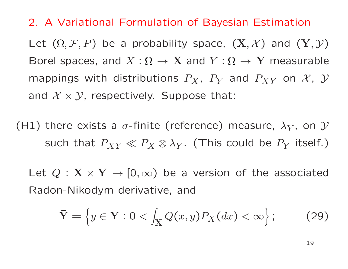#### 2. <sup>A</sup> Variational Formulation of Bayesian Estimation

Let  $(\Omega, \mathcal{F}, P)$  be a probability space,  $(\mathbf{X}, \mathcal{X})$  and  $(\mathbf{Y}, \mathcal{Y})$ Borel spaces, and  $X:\Omega\to\mathbf{X}$  and  $Y:\Omega\to\mathbf{Y}$  measurable mappings with distributions  $P_X$ ,  $P_Y$  and  $P_{XY}$  on  $\mathcal{X}$ ,  $\mathcal{Y}$ and  $\mathcal{X} \times \mathcal{Y}$ , respectively. Suppose that:

(H1) there exists a  $\sigma$ -finite (reference) measure,  $\lambda_Y$ , on  ${\cal Y}$ such that  $P_{XY}\ll P_X\otimes\lambda_Y$  $_Y$ . (This could be  $P_Y$  itself.)

Let  $Q: \mathbf{X} \times \mathbf{Y} \to [0, \infty)$  be a version of the associated Radon-Nikodym derivative, and

$$
\bar{\mathbf{Y}} = \left\{ y \in \mathbf{Y} : 0 < \int_{\mathbf{X}} Q(x, y) P_X(dx) < \infty \right\};\tag{29}
$$

19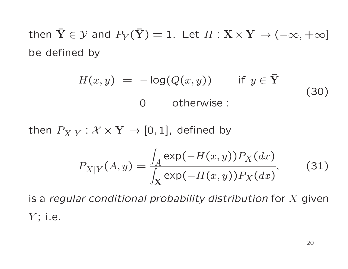then  $\bar{\mathbf{Y}} \in \mathcal{Y}$  and  $P_Y(\bar{\mathbf{Y}}) = 1$ . Let  $H : \mathbf{X} \times \mathbf{Y} \to (-\infty, +\infty]$ be defined by

$$
H(x, y) = -\log(Q(x, y)) \quad \text{if } y \in \overline{Y}
$$
\n
$$
0 \quad \text{otherwise :}
$$
\n(30)

then  $P_{X|Y}:\mathcal{X}\times\mathbf{Y}\rightarrow[0,1]$ , defined by

$$
P_{X|Y}(A,y) = \frac{\int_A \exp(-H(x,y)) P_X(dx)}{\int_X \exp(-H(x,y)) P_X(dx)},
$$
(31)

is <sup>a</sup> *regular conditional probability distribution* for <sup>X</sup> given  $Y$ ; i.e.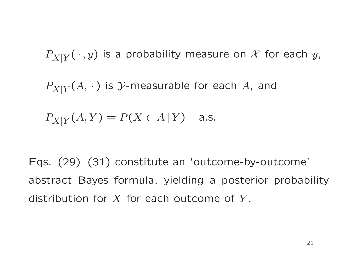$P_{X|Y}(\,\cdot\,,y)$  is a probability measure on  ${\mathcal X}$  for each  $y,$  $P_{X|Y}(A,\,\cdot\,)$  is  ${\cal Y}$ -measurable for each  $A$ , and  $P_{X|Y}(A, Y) = P(X \in A | Y)$  a.s.

Eqs. (29)–(31) constitute an 'outcome-by-outcome' abstract Bayes formula, yielding <sup>a</sup> posterior probabilitydistribution for  $X$  for each outcome of  $Y$ .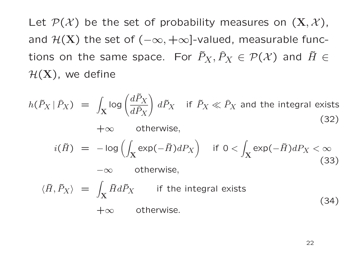Let  $\mathcal{P}(\mathcal{X})$  be the set of probability measures on  $(\mathbf{X}, \mathcal{X})$ , and  $\mathcal{H}(\mathbf{X})$  the set of  $(-\infty, +\infty]$ -valued, measurable functions on the same space. For  $\tilde{P}_X, \widehat{P}_X \in \mathcal{P}(\mathcal{X})$  and  $\tilde{H} \in$  $H(X)$ , we define

$$
h(\tilde{P}_X | \hat{P}_X) = \int_X \log \left( \frac{d\tilde{P}_X}{d\tilde{P}_X} \right) d\tilde{P}_X \quad \text{if } \tilde{P}_X \ll \hat{P}_X \text{ and the integral exists} \tag{32}
$$
\n
$$
+ \infty \quad \text{otherwise,}
$$
\n
$$
i(\tilde{H}) = -\log \left( \int_X \exp(-\tilde{H}) dP_X \right) \quad \text{if } 0 < \int_X \exp(-\tilde{H}) dP_X < \infty \tag{33}
$$
\n
$$
- \infty \quad \text{otherwise,}
$$
\n
$$
\langle \tilde{H}, \tilde{P}_X \rangle = \int_X \tilde{H} d\tilde{P}_X \quad \text{if the integral exists} \tag{34}
$$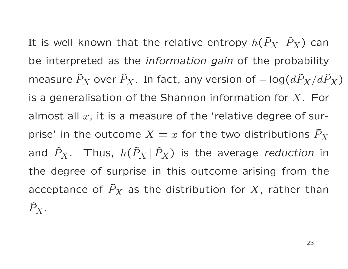It is well known that the relative entropy  $h(\tilde{P}_X | \, \widehat{P}_X)$  can be interpreted as the *information gain* of the probability measure  $\tilde{P}_X$  over  $\widehat{P}_X.$  In fact, any version of  $-\log(d\tilde{P}_X/d\hat{P}_X)$ is a generalisation of the Shannon information for  $X$ . For almost all  $x$ , it is a measure of the 'relative degree of surprise' in the outcome  $X=x$  for the two distributions  $\tilde P_X$ and  $\widehat{P}_X$ . Thus,  $h(\tilde{P}_X \,|\, \widehat{P}_X)$  is the average *reduction* in the degree of surprise in this outcome arising from theacceptance of  $\tilde{P}_X$  as the distribution for  $X$ , rather than  $\widehat{P}_X$ .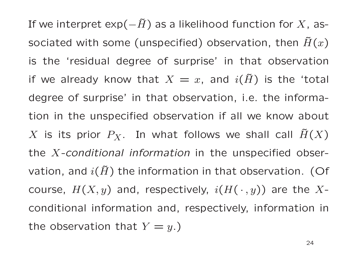If we interpret exp( $-\tilde{H}$ ) as a likelihood function for X, associated with some (unspecified) observation, then  $\tilde{H}(x)$ is the 'residual degree of surprise' in that observationif we already know that  $X = x$ , and  $i(\tilde{H})$  is the 'total degree of surprise' in that observation, i.e. the information in the unspecified observation if all we know about  $X$  is its prior  $P_X$ . In what follows we shall call  $\tilde{H}(X)$ the <sup>X</sup>*-conditional information* in the unspecified observation, and  $i(\tilde{H})$  the information in that observation. (Of course,  $H(X,y)$  and, respectively,  $i(H(\,\cdot\,,y))$  are the  $X$ conditional information and, respectively, information inthe observation that  $Y = y.$  )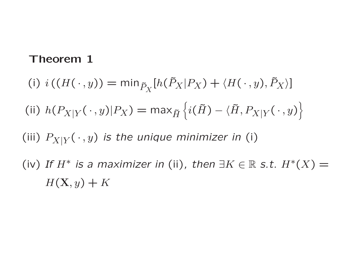#### Theorem <sup>1</sup>

(i)  $i((H(\cdot,y)) = \min_{\tilde{P}_X}[h(\tilde{P}_X|P_X) + \langle H(\cdot,y), \tilde{P}_X \rangle]$ (ii)  $h(P_{X\mid Y}$  $\gamma_{Y}(\,\cdot\,,y)|P_{X})=\max_{\tilde{H}}\left\{i(\tilde{H})-\langle\tilde{H},P_{X|Y}(\,\cdot\,,y)\right\}$ (iii)  $P_{X|Y}(\,\cdot\,,y)$  *is the unique minimizer in (i)* (iv) If  $H^*$  is a maximizer in (ii), then  $\exists K \in \mathbb{R}$  s.t.  $H^*(X) =$  $H(\mathbf{X}, y) + K$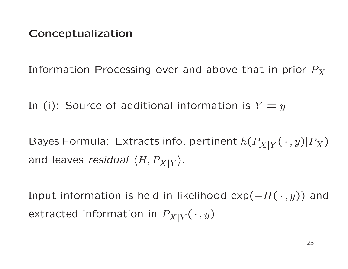## Conceptualization

Information Processing over and above that in prior  $P_X$ 

In (i): Source of additional information is  $Y=y$ 

Bayes Formula: Extracts info. pertinent  $h(P_{X|Y}(\,\cdot\,,y)|P_X)$ and leaves *residual*  $\langle H, P_{X|Y} \rangle.$ 

Input information is held in likelihood  $exp(-H(\cdot, y))$  and extracted information in  $P_{X|Y}(\,\cdot\,,y)$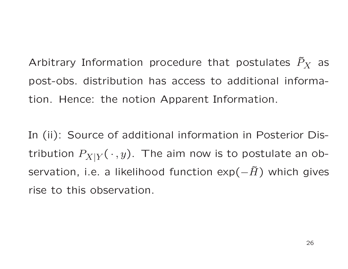Arbitrary Information procedure that postulates  $\tilde{P}_X$  as post-obs. distribution has access to additional information. Hence: the notion Apparent Information.

In (ii): Source of additional information in Posterior Distribution  $P_{X|Y}( \, \cdot\, ,y).$  The aim now is to postulate an observation, i.e. <sup>a</sup> likelihood function exp( − $\tilde{H}$ ) which gives rise to this observation.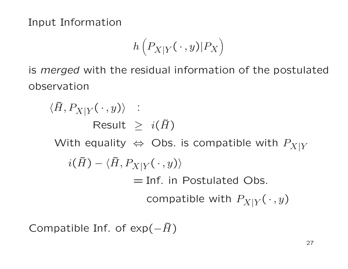Input Information

$$
h\left(P_{X|Y}(\,\cdot\,,y)|P_X\right)
$$

is *merged* with the residual information of the postulated observation

 $\langle \tilde{H}, P_{X|Y}(\,\cdot\,,y)\rangle$  :  $\textsf{Result} \ \geq \ \ i(\tilde{H})$ With equality  $\Leftrightarrow$  Obs. is compatible with  $P_{X|Y}$  $i(\tilde{H}) - \langle \tilde{H}, P_{X|Y}(\,\cdot\,,y)\rangle$  $=$  Inf. in Postulated Obs. compatible with  $P_{X|Y}(\,\cdot\,,y)$ 

Compatible Inf. of  $exp(-H)$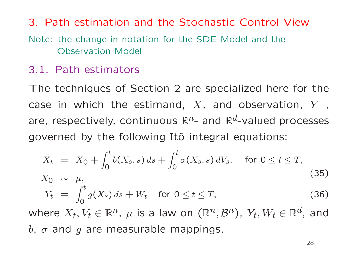# 3. Path estimation and the Stochastic Control ViewNote: the change in notation for the SDE Model and the

Observation Model

## 3.1. Path estimators

The techniques of Section <sup>2</sup> are specialized here for thecase in which the estimand,  $X$ , and observation,  $Y$  $\sim$ , are, respectively, continuous  $\mathbb{R}^n$ and  $\mathbb{R}^d$ -valued processes governed by the following Itô integral equations:

$$
X_{t} = X_{0} + \int_{0}^{t} b(X_{s}, s) ds + \int_{0}^{t} \sigma(X_{s}, s) dV_{s}, \text{ for } 0 \le t \le T,
$$
  
\n
$$
X_{0} \sim \mu,
$$
  
\n
$$
Y_{t} = \int_{0}^{t} g(X_{s}) ds + W_{t} \text{ for } 0 \le t \le T,
$$
  
\n
$$
Y_{t} = X_{0} + \int_{0}^{t} g(X_{s}) ds + W_{t} \text{ for } 0 \le t \le T,
$$
\n(36)

where  $X_t, V_t \in \mathbb{R}^n$  $b,\;\sigma$  and  $g$  are measurable mappings. ,  $\mu$  is a law on  $(\mathbb{R}^n)$  $(\mathcal{B}^n)$ ,  $Y_t, W_t \in \mathbb{R}^d$ , and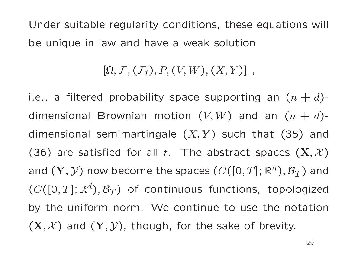Under suitable regularity conditions, these equations will be unique in law and have <sup>a</sup> weak solution

#### [ $[\Omega, \mathcal{F}, (\mathcal{F}_t), P, (V, W), (X, Y)]$ ,

i.e., a filtered probability space supporting an  $(n+d)$ dimensional Brownian motion  $(V,W)$  and an  $(n+d)$ dimensional semimartingale  $(X,Y)$  such that  $(35)$  and (36) are satisfied for all  $t.$  The abstract spaces  $(\mathbf{X}, \mathcal{X})$ and  $(\mathbf{Y}, \mathcal{Y})$  now become the spaces  $(C([0,T]; \mathbb{R}^n), \mathcal{B}_T)$  $_{T})$  and  $(C([0,T];\mathbb{R}^d$  $^d),\mathcal{B}_T$  $\langle T\rangle$  of continuous functions, topologized by the uniform norm. We continue to use the notation $(\mathbf{X}, \mathcal{X})$  and  $(\mathbf{Y}, \mathcal{Y})$ , though, for the sake of brevity.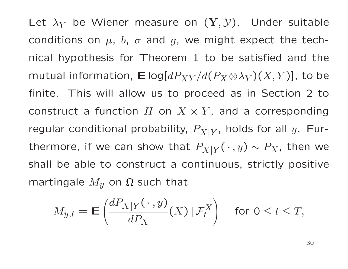Let  $\lambda_Y$  be Wiener measure on  $(\mathbf{Y},\mathcal{Y}).$  Under suitable conditions on  $\mu$ ,  $b$ ,  $\sigma$  and  $g$ , we might expect the technical hypothesis for Theorem <sup>1</sup> to be satisfied and themutual information,  $\mathsf E\log[dP_{XY}/d(P_X\!\otimes\!\lambda_Y)(X,Y)]$ , to be finite. This will allow us to proceed as in Section <sup>2</sup> toconstruct a function  $H$  on  $X \times Y$ , and a corresponding regular conditional probability,  $P_{X|Y}$ , holds for all  $y$ . Furthermore, if we can show that  $P_{X|Y}(\,\cdot\,,y) \sim P_X$ , then we shall be able to construct <sup>a</sup> continuous, strictly positivemartingale  $M_y$  on  $\Omega$  such that

$$
M_{y,t} = \mathbf{E}\left(\frac{dP_{X|Y}(\cdot,y)}{dP_X}(X) | \mathcal{F}_t^X\right) \quad \text{for } 0 \le t \le T,
$$

30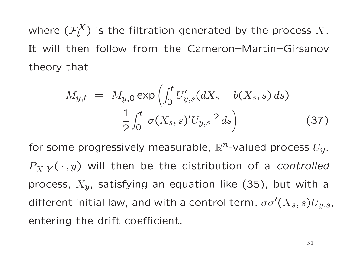where  $(\mathcal{F}^X_t)$  is the filtration generated by the process  $X.$ It will then follow from the Cameron–Martin–Girsanovtheory that

$$
M_{y,t} = M_{y,0} \exp\left(\int_0^t U'_{y,s}(dX_s - b(X_s, s) ds) - \frac{1}{2} \int_0^t |\sigma(X_s, s)' U_{y,s}|^2 ds\right)
$$
 (37)

for some progressively measurable,  $\mathbb{R}^n$ -valued process  $U_y$ .  $P_{X|Y}(\,\cdot\,,y)$  will then be the distribution of a *controlled* process,  $X_{y}$ , satisfying an equation like (35), but with a different initial law, and with a control term,  $\sigma\sigma'(X_s, s)U_{y,s}$ , entering the drift coefficient.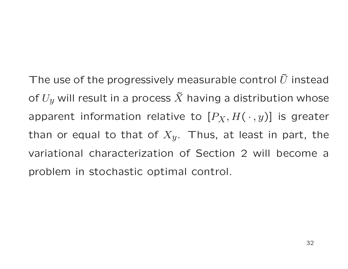The use of the progressively measurable control  $\tilde{U}$  instead of  $U_{y}$  will result in a process  $\tilde{X}$  having a distribution whose apparent information relative to  $[P_X,H(\,\cdot\,,y)]$  is greater than or equal to that of  $X_{y}.$  Thus, at least in part, the variational characterization of Section <sup>2</sup> will become <sup>a</sup>problem in stochastic optimal control.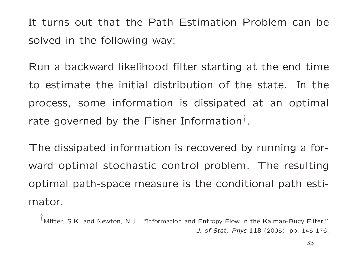It turns out that the Path Estimation Problem can besolved in the following way:

Run <sup>a</sup> backward likelihood filter starting at the end timeto estimate the initial distribution of the state. In theprocess, some information is dissipated at an optimal rate governed by the Fisher Information<sup>†</sup>.

The dissipated information is recovered by running <sup>a</sup> forward optimal stochastic control problem. The resultingoptimal path-space measure is the conditional path estimator.

†Mitter, S.K. and Newton, N.J., "Information and Entropy Flow in the Kalman-Bucy Filter,"*J. of Stat. Phys* <sup>118</sup> (2005), pp. 145-176.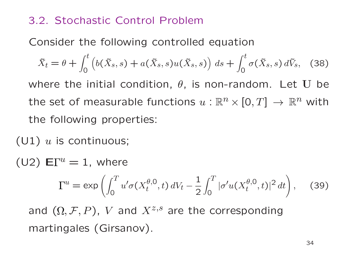## 3.2. Stochastic Control Problem

Consider the following controlled equation

 $\tilde{X}$  $\Delta t$  $=\theta$  $\, + \,$  $\int_0^t$  $\int_{0}^{b} (b$  $b($  $\tilde{X}$  $\tilde{X}_s, s) + a(s)$  $\tilde{X}$  $(\tilde X_S, s)$  $u($  $\tilde{X}$  $(\tilde X_s, s)\Big) \; ds \; + \;$  $\int_0^t$ 0σ(  $\tilde{X}$  $(\tilde X_{\mathcal{S}}, s)$  $d\tilde{V}$  $\mathbf{v}_s,$ (38)

where the initial condition,  $\theta$ , is non-random. Let  $\mathbf U$  be the set of measurable functions  $u:\mathbb{R}^n\times\left[0,T\right]\,\to\,\mathbb{R}^n$  with ]<br>] the following properties:

 $(\mathsf{U1})$   $u$  is continuous;

 $($ U2 $)$   $\mathsf{E}\Gamma^u = 1$ , where

$$
\Gamma^{u} = \exp\left(\int_{0}^{T} u' \sigma(X_{t}^{\theta,0}, t) dV_{t} - \frac{1}{2} \int_{0}^{T} |\sigma' u(X_{t}^{\theta,0}, t)|^{2} dt\right), \quad (39)
$$

and  $(\Omega, \mathcal{F}, P)$ ,  $V$  and  $X^{z,s}$  are the corresponding martingales (Girsanov).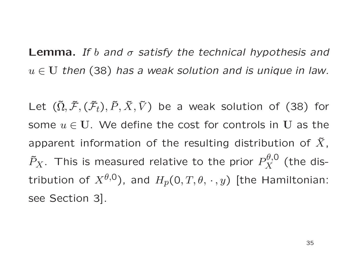Lemma. *If* <sup>b</sup> *and* <sup>σ</sup> *satisfy the technical hypothesis and*  $u \in U$  then (38) has a weak solution and is unique in law.

Let  $(\tilde{\Omega}$  $, \tilde{\mathcal{F}}$  $(\tilde{\mathcal{F}}_t), \tilde{P}, \tilde{X}, \tilde{V})$  be a weak solution of (38) for some  $u \in U$ . We define the cost for controls in  $U$  as the apparent information of the resulting distribution of  $\tilde{X}$  $\tilde{P}_X$ . This is measured relative to the prior  $P^{\theta,0}_X$  (the dis-,tribution of  $X^{\theta,0})$ , and  $H_p(0,T,\theta,\,\cdot\,,y)$  [the Hamiltonian: see Section 3].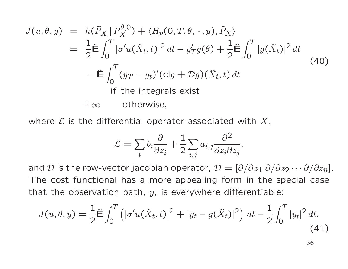$$
J(u, \theta, y) = h(\tilde{P}_X | P_X^{\theta,0}) + \langle H_p(0, T, \theta, \cdot, y), \tilde{P}_X \rangle
$$
  
\n
$$
= \frac{1}{2} \tilde{\mathbf{E}} \int_0^T |\sigma' u(\tilde{X}_t, t)|^2 dt - y'_T g(\theta) + \frac{1}{2} \tilde{\mathbf{E}} \int_0^T |g(\tilde{X}_t)|^2 dt
$$
  
\n
$$
- \tilde{\mathbf{E}} \int_0^T (y_T - y_t)'(\text{cl}g + Dg)(\tilde{X}_t, t) dt
$$
  
\nif the integrals exist  
\n
$$
+ \infty \quad \text{otherwise,}
$$

where  ${\cal L}$  is the differential operator associated with  $X,$ 

$$
\mathcal{L} = \sum_{i} b_i \frac{\partial}{\partial z_i} + \frac{1}{2} \sum_{i,j} a_{i,j} \frac{\partial^2}{\partial z_i \partial z_j},
$$

and  ${\cal D}$  is the row-vector jacobian operator,  ${\cal D} = [\partial/\partial z_1 \; \partial/\partial z_2 \cdots \partial/\partial z_n].$ The cost functional has <sup>a</sup> more appealing form in the special casethat the observation path,  $y$ , is everywhere differentiable:

$$
J(u, \theta, y) = \frac{1}{2} \tilde{\mathbf{E}} \int_0^T \left( |\sigma' u(\tilde{X}_t, t)|^2 + |\dot{y}_t - g(\tilde{X}_t)|^2 \right) dt - \frac{1}{2} \int_0^T |\dot{y}_t|^2 dt.
$$
\n(41)

36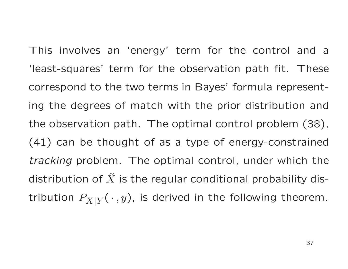This involves an 'energy' term for the control and <sup>a</sup>'least-squares' term for the observation path fit. Thesecorrespond to the two terms in Bayes' formula representing the degrees of match with the prior distribution andthe observation path. The optimal control problem (38), (41) can be thought of as <sup>a</sup> type of energy-constrained*tracking* problem. The optimal control, under which the distribution of  $\tilde{X}$  is the regular conditional probability distribution  $P_{X|Y}( \, \cdot \, ,y)$ , is derived in the following theorem.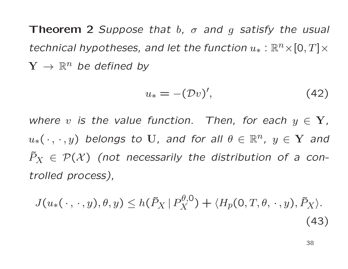Theorem <sup>2</sup> *Suppose that* <sup>b</sup>*,* <sup>σ</sup> *and* <sup>g</sup> *satisfy the usual*  $t$ echnical hypotheses, and let the function  $u_*: \mathbb{R}^n \times [0,T] \times$  $\mathbf{Y} \rightarrow \mathbb{R}^n$  be defined by

$$
u_* = -(\mathcal{D}v)',\tag{42}
$$

*where*  $v$  *is the value function.* Then, for each  $y \in Y$ ,  $u_*(\cdot, \cdot, y)$  belongs to  $U$ , and for all  $\theta \in \mathbb{R}^n$ ,  $y \in \mathbf{Y}$  and  $\tilde{P}$  $\,X\,$  $P_X \in \mathcal{P}(\mathcal{X})$  (not necessarily the distribution of a con*trolled process),*

$$
J(u_*(\cdot,\cdot,y),\theta,y) \le h(\tilde{P}_X | P_X^{\theta,0}) + \langle H_p(0,T,\theta,\cdot,y), \tilde{P}_X \rangle.
$$
\n(43)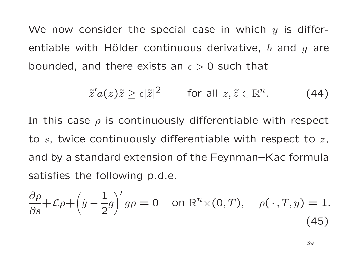We now consider the special case in which  $y$  is differentiable with Hölder continuous derivative,  $b$  and  $g$  are bounded, and there exists an  $\epsilon > 0$  such that

$$
\tilde{z}'a(z)\tilde{z} \geq \epsilon |\tilde{z}|^2 \qquad \text{for all } z, \tilde{z} \in \mathbb{R}^n. \tag{44}
$$

In this case  $\rho$  is continuously differentiable with respect to  $s$ , twice continuously differentiable with respect to  $z$ , and by <sup>a</sup> standard extension of the Feynman–Kac formulasatisfies the following p.d.e.

$$
\frac{\partial \rho}{\partial s} + \mathcal{L}\rho + \left(\dot{y} - \frac{1}{2}g\right)' g\rho = 0 \quad \text{on } \mathbb{R}^n \times (0, T), \quad \rho(\cdot, T, y) = 1.
$$
\n(45)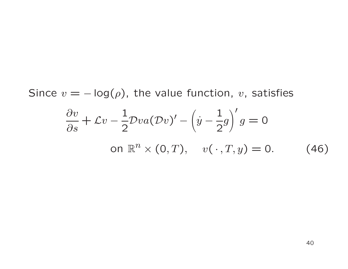Since  $v = -\log(\rho)$ , the value function,  $v$ , satisfies  $\partial v$  ∂s $\frac{v}{s} + \mathcal{L}v - \frac{1}{2}\mathcal{D}va(\mathcal{D}v)' - (\dot{y} - \frac{1}{2}g)'g = 0$ on  $\mathbb{R}^n \times (0,T)$ ,  $v(\,\cdot\,,T,y) = 0$ . (46)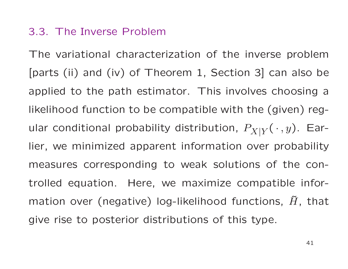#### 3.3. The Inverse Problem

The variational characterization of the inverse problem[parts (ii) and (iv) of Theorem 1, Section 3] can also beapplied to the path estimator. This involves choosing <sup>a</sup>likelihood function to be compatible with the (given) regular conditional probability distribution,  $P_{X|Y}(\,\cdot\,,y).$  Earlier, we minimized apparent information over probabilitymeasures corresponding to weak solutions of the controlled equation. Here, we maximize compatible information over (negative) log-likelihood functions,  $\tilde{H}$ , that give rise to posterior distributions of this type.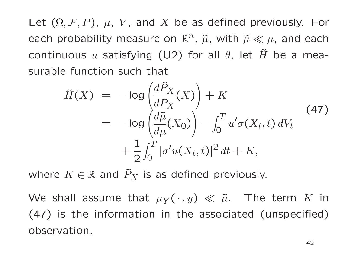Let  $(\Omega, \mathcal{F}, P)$ ,  $\mu$ ,  $V$ , and  $X$  be as defined previously. For each probability measure on  $\mathbb{R}^n$ ,  $\tilde{\mu}$ , with  $\tilde{\mu} \ll \mu$ , and each continuous  $u$  satisfying (U2) for all  $\theta$ , let  $\tilde{H}$  be a measurable function such that

$$
\tilde{H}(X) = -\log \left( \frac{d\tilde{P}_X}{dP_X}(X) \right) + K
$$
\n
$$
= -\log \left( \frac{d\tilde{\mu}}{d\mu}(X_0) \right) - \int_0^T u' \sigma(X_t, t) dV_t
$$
\n
$$
+ \frac{1}{2} \int_0^T |\sigma' u(X_t, t)|^2 dt + K,
$$
\n(47)

where  $K \in \mathbb{R}$  and  $\tilde{P}$  $\,X\,$  $\mathbf{y}_X$  is as defined previously.

We shall assume that  $\mu_Y(\,\cdot\,,y) \ll \tilde{\mu}$ . The term  $K$  in  $(47)$  is the information in the acceptated (uncertainty) (47) is the information in the associated (unspecified) observation.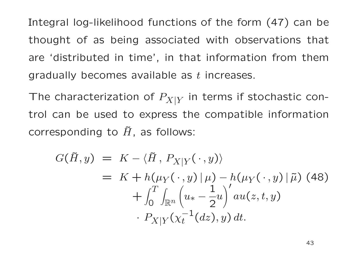Integral log-likelihood functions of the form (47) can bethought of as being associated with observations that are 'distributed in time', in that information from themgradually becomes available as  $t$  increases.

The characterization of  $P_{X \mid Y}$  in terms if stochastic control can be used to express the compatible informationcorresponding to  $\tilde{H}$ , as follows:

$$
G(\tilde{H}, y) = K - \langle \tilde{H}, P_{X|Y}(\cdot, y) \rangle
$$
  
=  $K + h(\mu_Y(\cdot, y) | \mu) - h(\mu_Y(\cdot, y) | \tilde{\mu})$  (48)  
+  $\int_0^T \int_{\mathbb{R}^n} \left( u_* - \frac{1}{2} u \right)' au(z, t, y)$   
•  $P_{X|Y}(\chi_t^{-1}(dz), y) dt$ .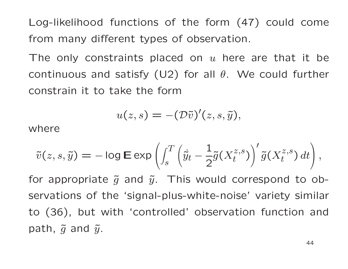Log-likelihood functions of the form (47) could comefrom many different types of observation.

The only constraints placed on  $u$  here are that it be continuous and satisfy (U2) for all  $\theta$ . We could further constrain it to take the form

$$
u(z,s) = -(\mathcal{D}\tilde{v})'(z,s,\tilde{y}),
$$

where

$$
\tilde{v}(z,s,\tilde{y}) = -\log \mathsf{E} \exp \left( \int_s^T \left( \dot{\tilde{y}}_t - \frac{1}{2} \tilde{g}(X_t^{z,s}) \right)' \tilde{g}(X_t^{z,s}) dt \right),
$$

for appropriate  $\tilde{g}$  and  $\tilde{y}$ . This would correspond to observations of the 'signal-plus-white-noise' variety similar to (36), but with 'controlled' observation function andpath,  $\tilde{g}$  and  $\tilde{y}.$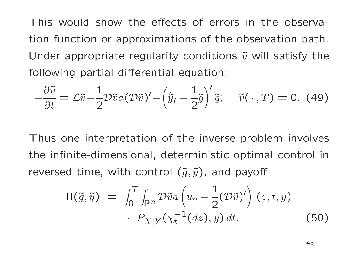This would show the effects of errors in the observation function or approximations of the observation path. Under appropriate regularity conditions  $\tilde{v}$  will satisfy the following partial differential equation:

$$
-\frac{\partial \tilde{v}}{\partial t} = \mathcal{L}\tilde{v} - \frac{1}{2}\mathcal{D}\tilde{v}a(\mathcal{D}\tilde{v})' - \left(\dot{\tilde{y}}_t - \frac{1}{2}\tilde{g}\right)' \tilde{g}; \quad \tilde{v}(\cdot, T) = 0.
$$
 (49)

Thus one interpretation of the inverse problem involves the infinite-dimensional, deterministic optimal control <sup>i</sup> nreversed time, with control  $(\tilde{g},\tilde{y})$ , and payoff

$$
\Pi(\tilde{g}, \tilde{y}) = \int_0^T \int_{\mathbb{R}^n} \mathcal{D}\tilde{v} a \left( u_* - \frac{1}{2} (\mathcal{D}\tilde{v})' \right) (z, t, y) \cdot P_{X|Y}(\chi_t^{-1}(dz), y) dt.
$$
\n(50)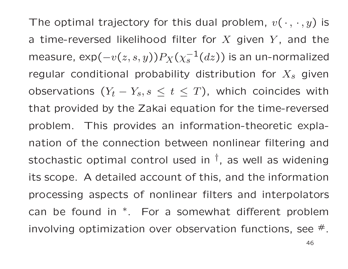The optimal trajectory for this dual problem,  $v(\,\cdot\,,\,\cdot\,,y)$  is a time-reversed likelihood filter for  $X$  given  $Y$ , and the measure, exp(  $-v(z,s,y))P_X(\chi_s^{-1}$ regular conditional probability distribution for  $X_s$  $_s^{-1}(dz)$ ) is an un-normalized observations  $(Y_t - Y_s, s \leq t \leq T)$ , which coinci  $s$  given  $Y_s, s \, \leq \, t \, \leq \, T)$ , which coincides with that provided by the Zakai equation for the time-reversedproblem. This provides an information-theoretic explanation of the connection between nonlinear filtering andstochastic optimal control used in  $^\dagger$ , as well as widening its scope. <sup>A</sup> detailed account of this, and the informationprocessing aspects of nonlinear filters and interpolators can be found in∗. For <sup>a</sup> somewhat different probleminvolving optimization over observation functions, see  $^{\#}.$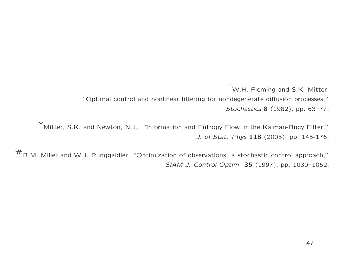†W.H. Fleming and S.K. Mitter,

"Optimal control and nonlinear filtering for nondegenerate diffusion processes,"*Stochastics* <sup>8</sup> (1982), pp. 63–77.

<sup>∗</sup>Mitter, S.K. and Newton, N.J., "Information and Entropy Flow in the Kalman-Bucy Filter,"*J. of Stat. Phys* <sup>118</sup> (2005), pp. 145-176.

 $#_{B.M.}$  Miller and W.J. Runggaldier, "Optimization of observations: a stochastic control approach," *SIAM J. Control Optim.* <sup>35</sup> (1997), pp. 1030–1052.